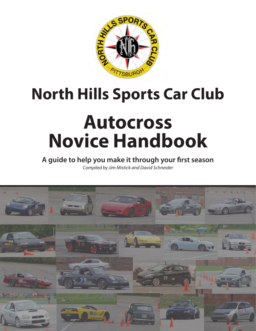

# **North Hills Sports Car Club**

# **Autocross Novice Handbook**

**A guide to help you make it through your first season** *Compiled by Jim Mistick and David Schneider*

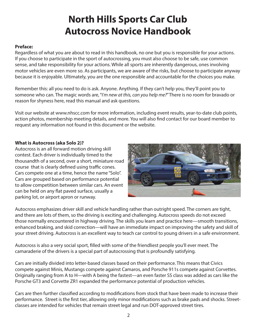# **North Hills Sports Car Club Autocross Novice Handbook**

#### **Preface:**

Regardless of what you are about to read in this handbook, no one but you is responsible for your actions. If you choose to participate in the sport of autocrossing, you must also choose to be safe, use common sense, and take responsibility for your actions. While all sports are inherently dangerous, ones involving motor vehicles are even more so. As participants, we are aware of the risks, but choose to participate anyway because it is enjoyable. Ultimately, you are the one responsible and accountable for the choices you make.

Remember this: all you need to do is ask. Anyone. Anything. If they can't help you, they'll point you to someone who can. The magic words are, "I*'m new at this, can you help me?*" There is no room for bravado or reason for shyness here, read this manual and ask questions.

Visit our website at www.nhscc.com for more information, including event results, year-to-date club points, action photos, membership meeting details, and more. You will also find contact for our board member to request any information not found in this document or the website.

#### **What is Autocross (aka Solo 2)?**

Autocross is an all forward motion driving skill contest. Each driver is individually timed to the thousandth of a second, over a short, miniature road course that is clearly defined using traffic cones. Cars compete one at a time, hence the name "Solo". Cars are grouped based on performance potential to allow competition between similar cars. An event can be held on any flat paved surface, usually a parking lot, or airport apron or runway.



Autocross emphasizes driver skill and vehicle handling rather than outright speed. The corners are tight, and there are lots of them, so the driving is exciting and challenging. Autocross speeds do not exceed those normally encountered in highway driving. The skills you learn and practice here—smooth transitions, enhanced braking, and skid correction—will have an immediate impact on improving the safety and skill of your street driving. Autocross is an excellent way to teach car control to young drivers in a safe environment.

Autocross is also a very social sport, filled with some of the friendliest people you'll ever meet. The camaraderie of the drivers is a special part of autocrossing that is profoundly satisfying.

Cars are initially divided into letter-based classes based on their performance. This means that Civics compete against Minis, Mustangs compete against Camaros, and Porsche 911s compete against Corvettes. Originally ranging from A to H—with A being the fastest—an even faster SS class was added as cars like the Porsche GT3 and Corvette ZR1 expanded the performance potential of production vehicles.

Cars are then further classified according to modifications from stock that have been made to increase their performance. Street is the first tier, allowing only minor modifications such as brake pads and shocks. Streetclasses are intended for vehicles that remain street legal and run DOT-approved street tires.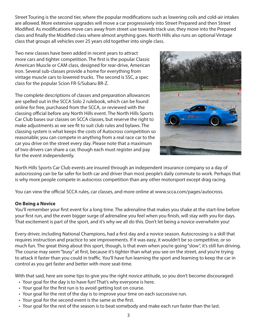Street Touring is the second tier, where the popular modifications such as lowering coils and cold-air intakes are allowed. More extensive upgrades will move a car progressively into Street Prepared and then Street Modified. As modifications move cars away from street use towards track use, they move into the Prepared class and finally the Modified class where almost anything goes. North Hills also runs an optional Vintage class that groups all vehicles over 25 years old together into single class.

Two new classes have been added in recent years to attract more cars and tighter competition. The first is the popular Classic American Muscle or CAM class, designed for rear-drive, American iron. Several sub-classes provide a home for everything from vintage muscle cars to lowered trucks. The second is SSC, a spec class for the popular Scion FR-S/Subaru BR-Z.

The complete descriptions of classes and preparation allowances are spelled out in the SCCA Solo 2 rulebook, which can be found online for free, purchased from the SCCA, or reviewed with the classing official before any North Hills event. The North Hills Sports Car Club bases our classes on SCCA classes, but reserve the right to make adjustments as we see fit to suit club rules and bylaws. The classing system is what keeps the costs of Autocross competition so reasonable; you can compete in anything from a real race car to the car you drive on the street every day. Please note that a maximum of two drivers can share a car, though each must register and pay for the event independently.



North Hills Sports Car Club events are insured through an independent insurance company so a day of autocrossing can be far safer for both car and driver than most people's daily commute to work. Perhaps that is why more people compete in autocross competition than any other motorsport except drag racing.

You can view the official SCCA rules, car classes, and more online at www.scca.com/pages/autocross.

#### **On Being a Novice**

You'll remember your first event for a long time. The adrenaline that makes you shake at the start-line before your first run, and the even bigger surge of adrenaline you feel when you finish, will stay with you for days. That excitement is part of the sport, and it's why we all do this. Don't let being a novice overwhelm you!

Every driver, including National Champions, had a first day and a novice season. Autocrossing is a skill that requires instruction and practice to see improvements. If it was easy, it wouldn't be so competitive, or so much fun. The great thing about this sport, though, is that even when you're going "slow", it's still fun driving. The course may seem "busy" at first, because it's tighter than what you see on the street, and you're trying to attack it faster than you could in traffic. You'll have fun learning the sport and learning to keep the car in control as you get faster and better with more seat-time.

With that said, here are some tips to give you the right novice attitude, so you don't become discouraged:

- Your goal for the day is to have fun! That's why everyone is here.
- Your goal for the first run is to avoid getting lost on course.
- Your goal for the rest of the day is to improve your time on each successive run.
- Your goal for the second event is the same as the first.
- Your goal for the rest of the season is to beat somebody and make each run faster than the last.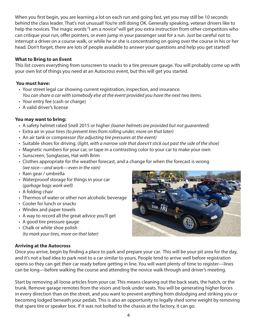When you first begin, you are learning a lot on each run and going fast, yet you may still be 10 seconds behind the class leader. That's not unusual! You're still doing OK. Generally speaking, veteran drivers like to help the novices. The magic words "I am a novice" will get you extra instruction from other competitors who can critique your run, offer pointers, or even jump in your passenger seat for a run. Just be careful not to interrupt a driver on a course walk, or while he or she is concentrating on going over the course in his or her head. Don't forget, there are lots of people available to answer your questions and help you get started!

#### **What to Bring to an Event**

This list covers everything from sunscreen to snacks to a tire pressure gauge. You will probably come up with your own list of things you need at an Autocross event, but this will get you started.

#### **You must have:**

- Your street legal car showing current registration, inspection, and insurance. *You can share a car with somebody else at the event provided you have the next two items.*
- Your entry fee (cash or charge)
- A valid driver's license

#### **You may want to bring:**

- A safety helmet rated Snell 2015 or higher *(loaner helmets are provided but not guaranteed)*
- Extra air in your tires *(to prevent tires from rolling under, more on that later)*
- An air tank or compressor *(for adjusting tire pressures at the event)*
- Suitable shoes for driving. (*light, with a narrow sole that doesn't stick out past the side of the shoe)*
- Magnetic numbers for your car, or tape in a contrasting color to your car to make your own
- Sunscreen, Sunglasses, Hat with Brim
- Clothes appropriate for the weather forecast, and a change for when the forecast is wrong *(we race—and work—even in the rain)*
- Rain gear / umbrella
- Waterprooof storage for things in your car *(garbage bags work well)*
- A folding chair
- Thermos of water or other non alcoholic beverage
- Cooler for lunch or snacks
- Windex and paper towels
- A way to record all the great advice you'll get
- A good tire pressure gauge
- Chalk or white shoe polish *(to mark your tires, more on that later)*

#### **Arriving at the Autocross**

Once you arrive, begin by finding a place to park and prepare your car. This will be your pit area for the day, and it's not a bad idea to park next to a car similar to yours. People tend to arrive well before registration opens so they can get their car ready before getting in line. You will want plenty of time to register—lines can be long—before walking the course and attending the novice walk through and driver's meeting.

Start by removing all loose articles from your car. This means cleaning out the back seats, the hatch, or the trunk. Remove garage remotes from the visors and look under seats. You will be generating higher forces in every direction than on the street, and you want to prevent anything from dislodging and striking you or becoming lodged beneath your pedals. This is also an opportunity to legally shed some weight by removing that spare tire or speaker box. If it was not bolted to the chassis at the factory, it can go.

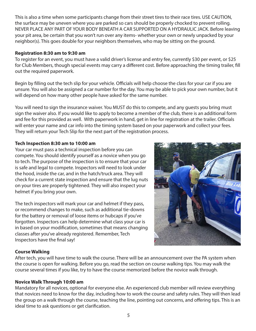This is also a time when some participants change from their street tires to their race tires. USE CAUTION, the surface may be uneven where you are parked so cars should be properly chocked to prevent rolling. NEVER PLACE ANY PART OF YOUR BODY BENEATH A CAR SUPPORTED ON A HYDRAULIC JACK. Before leaving your pit area, be certain that you won't run over any items- whether your own or newly unpacked by your neighbor(s). This goes double for your neighbors themselves, who may be sitting on the ground.

#### **Registration 8:30 am to 9:30 am**

To register for an event, you must have a valid driver's license and entry fee, currently \$30 per event, or \$25 for Club Members, though special events may carry a different cost. Before approaching the timing trailer, fill out the required paperwork.

Begin by filling out the tech slip for your vehicle. Officials will help choose the class for your car if you are unsure. You will also be assigned a car number for the day. You may be able to pick your own number, but it will depend on how many other people have asked for the same number.

You will need to sign the insurance waiver. You MUST do this to compete, and any guests you bring must sign the waiver also. If you would like to apply to become a member of the club, there is an additional form and fee for this provided as well. With paperwork in hand, get in line for registration at the trailer. Officials will enter your name and car info into the timing system based on your paperwork and collect your fees. They will return your Tech Slip for the next part of the registration process.

# **Tech Inspection 8:30 am to 10:00 am**

Your car must pass a technical inspection before you can compete. You should identify yourself as a novice when you go to tech. The purpose of the inspection is to ensure that your car is safe and legal to compete. Inspectors will need to look under the hood, inside the car, and in the hatch/truck area. They will check for a current state inspection and ensure that the lug nuts on your tires are properly tightened. They will also inspect your helmet if you bring your own.

The tech inspectors will mark your car and helmet if they pass, or recommend changes to make, such as additional tie-downs for the battery or removal of loose items or hubcaps if you've forgotten. Inspectors can help determine what class your car is in based on your modification, sometimes that means changing classes after you've already registered. Remember, Tech Inspectors have the final say!



# **Course Walking**

After tech, you will have time to walk the course. There will be an announcement over the PA system when the course is open for walking. Before you go, read the section on course walking tips. You may walk the course several times if you like, try to have the course memorized before the novice walk through.

# **Novice Walk Through 10:00 am**

Mandatory for all novices, optional for everyone else. An experienced club member will review everything that novices need to know for the day, including how to work the course and safety rules. They will then lead the group on a walk through the course, teaching the line, pointing out concerns, and offering tips. This is an ideal time to ask questions or get clarification.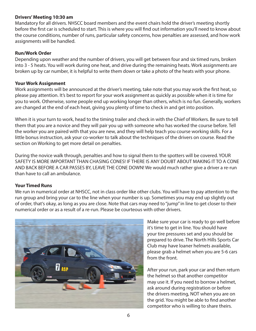#### **Drivers' Meeting 10:30 am**

Mandatory for all drivers. NHSCC board members and the event chairs hold the driver's meeting shortly before the first car is scheduled to start. This is where you will find out information you'll need to know about the course conditions, number of runs, particular safety concerns, how penalties are assessed, and how work assignments will be handled.

#### **Run/Work Order**

Depending upon weather and the number of drivers, you will get between four and six timed runs, broken into 3 - 5 heats. You will work during one heat, and drive during the remaining heats. Work assignments are broken up by car number, it is helpful to write them down or take a photo of the heats with your phone.

#### **Your Work Assignment**

Work assignments will be announced at the driver's meeting, take note that you may work the first heat, so please pay attention. It's best to report for your work assignment as quickly as possible when it is time for you to work. Otherwise, some people end up working longer than others, which is no fun. Generally, workers are changed at the end of each heat, giving you plenty of time to check in and get into position.

When it is your turn to work, head to the timing trailer and check in with the Chief of Workers. Be sure to tell them that you are a novice and they will pair you up with someone who has worked the course before. Tell the worker you are paired with that you are new, and they will help teach you course working skills. For a little bonus instruction, ask your co-worker to talk about the techniques of the drivers on course. Read the section on Working to get more detail on penalties.

During the novice walk through, penalties and how to signal them to the spotters will be covered. YOUR SAFETY IS MORE IMPORTANT THAN CHASING CONES! IF THERE IS ANY DOUBT ABOUT MAKING IT TO A CONE AND BACK BEFORE A CAR PASSES BY, LEAVE THE CONE DOWN! We would much rather give a driver a re-run than have to call an ambulance.

#### **Your Timed Runs**

We run in numerical order at NHSCC, not in class order like other clubs. You will have to pay attention to the run group and bring your car to the line when your number is up. Sometimes you may end up slightly out of order, that's okay, as long as you are close. Note that cars may need to "jump" in line to get closer to their numerical order or as a result of a re-run. Please be courteous with other drivers.



Make sure your car is ready to go well before it's time to get in line. You should have your tire pressures set and you should be prepared to drive. The North Hills Sports Car Club may have loaner helmets available, please grab a helmet when you are 5-6 cars from the front.

After your run, park your car and then return the helmet so that another competitor may use it. If you need to borrow a helmet, ask around during registration or before the drivers meeting, NOT when you are on the grid. You might be able to find another competitor who is willing to share theirs.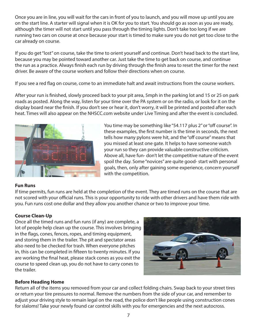Once you are in line, you will wait for the cars in front of you to launch, and you will move up until you are on the start line. A starter will signal when it is OK for you to start. You should go as soon as you are ready, although the timer will not start until you pass through the timing lights. Don't take too long if we are running two cars on course at once because your start is timed to make sure you do not get too close to the car already on course.

If you do get "lost" on course, take the time to orient yourself and continue. Don't head back to the start line, because you may be pointed toward another car. Just take the time to get back on course, and continue the run as a practice. Always finish each run by driving through the finish area to reset the timer for the next driver. Be aware of the course workers and follow their directions when on course.

If you see a red flag on course, come to an immediate halt and await instructions from the course workers.

After your run is finished, slowly proceed back to your pit area, 5mph in the parking lot and 15 or 25 on park roads as posted. Along the way, listen for your time over the PA system or on the radio, or look for it on the display board near the finish. If you don't see or hear it, don't worry, it will be printed and posted after each heat. Times will also appear on the NHSCC.com website under Live Timing and after the event is concluded.



You time may be something like "54.117 plus 2" or "off course". In these examples, the first number is the time in seconds, the next tells how many pylons were hit, and the "off course" means that you missed at least one gate. It helps to have someone watch your run so they can provide valuable constructive criticism. Above all, have fun- don't let the competitive nature of the event spoil the day. Some "novices" are quite good- start with personal goals, then, only after gaining some experience, concern yourself with the competition.

#### **Fun Runs**

If time permits, fun runs are held at the completion of the event. They are timed runs on the course that are not scored with your official runs. This is your opportunity to ride with other drivers and have them ride with you. Fun runs cost one dollar and they allow you another chance or two to improve your time.

#### **Course Clean-Up**

Once all the timed runs and fun runs (if any) are complete, a lot of people help clean up the course. This involves bringing in the flags, cones, fences, ropes, and timing equipment, and storing them in the trailer. The pit and spectator areas also need to be checked for trash. When everyone pitches in, this can be completed in fifteen to twenty minutes. If you are working the final heat, please stack cones as you exit the course to speed clean up, you do not have to carry cones to the trailer.



# **Before Heading Home**

Return all of the items you removed from your car and collect folding chairs. Swap back to your street tires or return your tire pressures to normal. Remove the numbers from the side of your car, and remember to adjust your driving style to remain legal on the road, the police don't like people using construction cones for slaloms! Take your newly found car control skills with you for emergencies and the next autocross.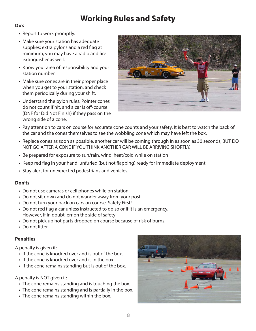# **Working Rules and Safety**

#### **Do's**

- Report to work promptly.
- Make sure your station has adequate supplies; extra pylons and a red flag at minimum, you may have a radio and fire extinguisher as well.
- Know your area of responsibility and your station number.
- Make sure cones are in their proper place when you get to your station, and check them periodically during your shift.
- Understand the pylon rules. Pointer cones do not count if hit, and a car is off-course (DNF for Did Not Finish) if they pass on the wrong side of a cone.



- Pay attention to cars on course for accurate cone counts and your safety. It is best to watch the back of the car and the cones themselves to see the wobbling cone which may have left the box.
- Replace cones as soon as possible, another car will be coming through in as soon as 30 seconds, BUT DO NOT GO AFTER A CONE IF YOU THINK ANOTHER CAR WILL BE ARRIVING SHORTLY.
- Be prepared for exposure to sun/rain, wind, heat/cold while on station
- Keep red flag in your hand, unfurled (but not flapping) ready for immediate deployment.
- Stay alert for unexpected pedestrians and vehicles.

# **Don'ts**

- Do not use cameras or cell phones while on station.
- Do not sit down and do not wander away from your post.
- Do not turn your back on cars on course. Safety First!
- Do not red flag a car unless instructed to do so or if it is an emergency. However, if in doubt, err on the side of safety!
- Do not pick up hot parts dropped on course because of risk of burns.
- Do not litter.

# **Penalties**

A penalty is given if:

- If the cone is knocked over and is out of the box.
- If the cone is knocked over and is in the box.
- If the cone remains standing but is out of the box.

# A penalty is NOT given if:

- The cone remains standing and is touching the box.
- The cone remains standing and is partially in the box.
- The cone remains standing within the box.

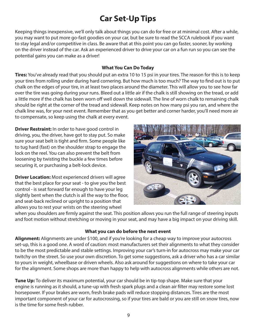# **Car Set-Up Tips**

Keeping things inexpensive, we'll only talk about things you can do for free or at minimal cost. After a while, you may want to put more go-fast goodies on your car, but be sure to read the SCCA rulebook if you want to stay legal and/or competitive in class. Be aware that at this point you can go faster, sooner, by working on the driver instead of the car. Ask an experienced driver to drive your car on a fun run so you can see the potential gains you can make as a driver!

#### **What You Can Do Today**

**Tires:** You've already read that you should put an extra 10 to 15 psi in your tires. The reason for this is to keep your tires from rolling under during hard cornering. But how much is too much? The way to find out is to put chalk on the edges of your tire, in at least two places around the diameter. This will allow you to see how far over the tire was going during your runs. Bleed out a little air if the chalk is still showing on the tread, or add a little more if the chalk has been worn off well down the sidewall. The line of worn chalk to remaining chalk should be right at the corner of the tread and sidewall. Keep notes on how many psi you ran, and where the chalk line was, for your next event. Remember that as you get better and corner harder, you'll need more air to compensate, so keep using the chalk at every event.

**Driver Restraint:** In order to have good control in driving, you, the driver, have got to stay put. So make sure your seat belt is tight and firm. Some people like to tug hard (fast) on the shoulder strap to engage the lock on the reel. You can also prevent the belt from loosening by twisting the buckle a few times before securing it, or purchasing a belt-lock device.

**Driver Location:** Most experienced drivers will agree that the best place for your seat - to give you the best control - is seat forward far enough to have your leg slightly bent when the clutch is all the way to the floor, and seat-back reclined or upright to a position that allows you to rest your wrists on the steering wheel



when you shoulders are firmly against the seat. This position allows you run the full range of steering inputs and foot motion without stretching or moving in your seat, and may have a big impact on your driving skill.

#### **What you can do before the next event**

**Alignment:** Alignments are under \$100, and if you're looking for a cheap way to improve your autocross set-up, this is a good one. A word of caution: most manufacturers set their alignments to what they consider to be the most predictable and stable settings. Improving your car's turn-in for autocross may make your car twitchy on the street. So use your own discretion. To get some suggestions, ask a driver who has a car similar to yours in weight, wheelbase or driven wheels. Also ask around for suggestions on where to take your car for the alignment. Some shops are more than happy to help with autocross alignments while others are not.

**Tune Up:** To deliver its maximum potential, your car should be in tip-top shape. Make sure that your engine is running as it should, a tune-up with fresh spark plugs and a clean air filter may restore some lost horsepower. If your brakes are worn, fresh brake pads will reduce stopping distances. Tires are the most important component of your car for autocrossing, so if your tires are bald or you are still on snow tires, now is the time for some fresh rubber.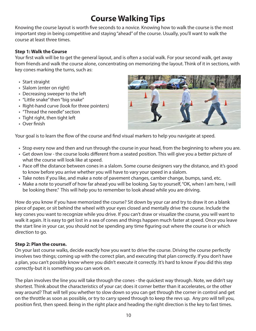# **Course Walking Tips**

Knowing the course layout is worth five seconds to a novice. Knowing how to walk the course is the most important step in being competitive and staying "ahead" of the course. Usually, you'll want to walk the course at least three times.

#### **Step 1: Walk the Course**

Your first walk will be to get the general layout, and is often a social walk. For your second walk, get away from friends and walk the course alone, concentrating on memorizing the layout. Think of it in sections, with key cones marking the turns, such as:

- Start straight
- Slalom (enter on right)
- Decreasing sweeper to the left
- "Little snake" then "big snake"
- Right-hand curve (look for three pointers)
- "Thread the needle" section
- Tight right, then tight left
- Over finish



Your goal is to learn the flow of the course and find visual markers to help you navigate at speed.

- Stop every now and then and run through the course in your head, from the beginning to where you are.
- Get down low the course looks different from a seated position. This will give you a better picture of what the course will look like at speed.
- Pace off the distance between cones in a slalom. Some course designers vary the distance, and it's good to know before you arrive whether you will have to vary your speed in a slalom.
- Take notes if you like, and make a note of pavement changes, camber change, bumps, sand, etc.
- Make a note to yourself of how far ahead you will be looking. Say to yourself, "OK, when I am here, I will be looking there." This will help you to remember to look ahead while you are driving.

How do you know if you have memorized the course? Sit down by your car and try to draw it on a blank piece of paper, or sit behind the wheel with your eyes closed and mentally drive the course. Include the key cones you want to recognize while you drive. If you can't draw or visualize the course, you will want to walk it again. It is easy to get lost in a sea of cones and things happen much faster at speed. Once you leave the start line in your car, you should not be spending any time figuring out where the course is or which direction to go.

#### **Step 2: Plan the course.**

On your last course walks, decide exactly how you want to drive the course. Driving the course perfectly involves two things; coming up with the correct plan, and executing that plan correctly. If you don't have a plan, you can't possibly know where you didn't execute it correctly. It's hard to know if you did this step correctly-but it is something you can work on.

The plan involves the line you will take through the cones - the quickest way through. Note, we didn't say shortest. Think about the characteristics of your car; does it corner better than it accelerates, or the other way around? That will tell you whether to slow down so you can get through the corner in control and get on the throttle as soon as possible, or try to carry speed through to keep the revs up. Any pro will tell you, position first, then speed. Being in the right place and heading the right direction is the key to fast times.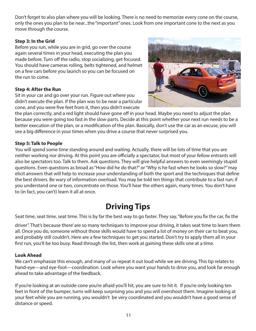Don't forget to also plan where you will be looking. There is no need to memorize every cone on the course, only the ones you plan to be near...the "important" ones. Look from one important cone to the next as you move through the course.

### **Step 3: In the Grid**

Before you run, while you are in grid, go over the course again several times in your head, executing the plan you made before. Turn off the radio, stop socializing, get focused. You should have cameras rolling, belts tightened, and helmet on a few cars before you launch so you can be focused on the run to come.

# **Step 4: After the Run**

Sit in your car and go over your run. Figure out where you didn't execute the plan. If the plan was to be near a particular cone, and you were five feet from it, then you didn't execute

the plan correctly, and a red light should have gone off in your head. Maybe you need to adjust the plan because you were going too fast in the slow parts. Decide at this point whether your next run needs to be a better execution of the plan, or a modification of the plan. Basically, don't use the car as an excuse, you will see a big difference in your times when you drive a course that never surprised you.

# **Step 5: Talk to People**

You will spend some time standing around and waiting. Actually, there will be lots of time that you are neither working nor driving. At this point you are officially a spectator, but most of your fellow entrants will also be spectators too. Talk to them. Ask questions. They will give helpful answers to even seemingly stupid questions. Even questions as broad as "How did he do that?" or "Why is he fast when he looks so slow?" may elicit answers that will help to increase your understanding of both the sport and the techniques that define the best drivers. Be wary of information overload. You may be told ten things that contribute to a fast run; if you understand one or two, concentrate on those. You'll hear the others again, many times. You don't have to (in fact, you can't) learn it all at once.

# **Driving Tips**

Seat time, seat time, seat time. This is by far the best way to go faster. They say, "Before you fix the car, fix the

driver". That's because there' are so many techniques to improve your driving, it takes seat time to learn them all. Once you do, someone without those skills would have to spend a lot of money on their car to beat you, and probably still couldn't. Here are a few techniques to get you started. Don't try to apply them all in your first run, you'll be too busy. Read through the list, then work at gaining these skills one at a time.

# **Look Ahead**

We can't emphasize this enough, and many of us repeat it out loud while we are driving. This tip relates to hand-eye—and eye-foot—coordination. Look where you want your hands to drive you, and look far enough ahead to take advantage of the feedback.

If you're looking at an outside cone you're afraid you'll hit, you are sure to hit it. If you're only looking ten feet in front of the bumper, turns will keep surprising you and you will overshoot them. Imagine looking at your feet while you are running, you wouldn't be very coordinated and you wouldn't have a good sense of distance or speed.

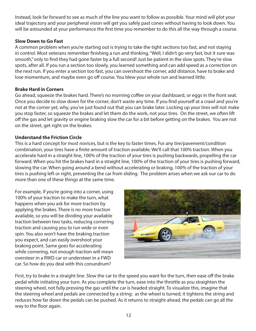Instead, look far forward to see as much of the line you want to follow as possible. Your mind will plot your ideal trajectory and your peripheral vision will get you safely past cones without having to look down. You will be astounded at your performance the first time you remember to do this all the way through a course.

#### **Slow Down to Go Fast**

A common problem when you're starting out is trying to take the tight sections too fast, and not staying in control. Most veterans remember finishing a run and thinking, "Well, I didn't go very fast, but it sure was smooth," only to find they had gone faster by a full second! Just be patient in the slow spots. They're slow spots, after all. If you run a section too slowly, you learned something and can add speed as a correction on the next run. If you enter a section too fast, you can overshoot the corner, add distance, have to brake and lose momentum, and maybe even go off course. You blew your whole run and learned little.

#### **Brake Hard in Corners**

Go ahead, squeeze the brakes hard. There's no morning coffee on your dashboard, or eggs in the front seat. Once you decide to slow down for the corner, don't waste any time. If you find yourself at a crawl and you're not at the corner yet, why, you've just found out that you can brake later. Locking up your tires will not make you stop faster, so squeeze the brakes and let them do the work, not your tires. On the street, we often lift off the gas and let gravity or engine braking slow the car for a bit before getting on the brakes. You are not on the street, get right on the brakes.

#### **Understand the Friction Circle**

This is a hard concept for most novices, but is the key to faster times. For any tire/pavement/condition combination, your tires have a finite amount of traction available. We'll call that 100% traction. When you accelerate hard in a straight line, 100% of the traction of your tires is pushing backwards, propelling the car forward. When you hit the brakes hard in a straight line, 100% of the traction of your tires is pushing forward, slowing the car. When going around a bend without accelerating or braking, 100% of the traction of your tires is pushing left or right, preventing the car from sliding. The problem arises when we ask our car to do more than one of these things at the same time.

For example, if you're going into a corner, using 100% of your traction to make the turn, what happens when you ask for more traction by applying the brakes. There is no more traction available, so you will be dividing your available traction between two tasks, reducing cornering traction and causing you to run wide or even spin. You also won't have the braking traction you expect, and can easily overshoot your braking point. Same goes for accelerating while cornering, not enough traction will mean oversteer in a RWD car or understeer in a FWD car. So how do you deal with this conundrum?



First, try to brake in a straight line. Slow the car to the speed you want for the turn, then ease off the brake pedal while initiating your turn. As you complete the turn, ease into the throttle as you straighten the steering wheel, not fully pressing the gas until the car is headed straight. To visualize this, imagine that the steering wheel and pedals are connected by a string: as the wheel is turned, it tightens the string and reduces how far down the pedals can be pushed. As it returns to straight-ahead, the pedals can go all the way to the floor again.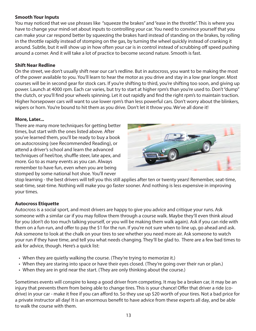#### **Smooth Your Inputs**

You may noticed that we use phrases like "squeeze the brakes" and "ease in the throttle". This is where you have to change your mind-set about inputs to controlling your car. You need to convince yourself that you can make your car respond better by squeezing the brakes hard instead of standing on the brakes, by rolling in the throttle rapidly instead of stomping on the gas, by turning the wheel quickly instead of cranking it around. Subtle, but it will show up in how often your car is in control instead of scrubbing off speed pushing around a corner. And it will take a lot of practice to become second nature. Smooth is fast.

#### **Shift Near Redline**

On the street, we don't usually shift near our car's redline. But in autocross, you want to be making the most of the power available to you. You'll learn to hear the motor as you drive and stay in a low gear longer. Most courses will be in second gear for stock cars. If you're shifting to third, you're shifting too soon, and giving up power. Launch at 4000 rpm. Each car varies, but try to start at higher rpm's than you're used to. Don't "dump" the clutch, or you'll find your wheels spinning. Let it out rapidly and find the right rpm's to maintain traction. Higher horsepower cars will want to use lower rpm's than less powerful cars. Don't worry about the blinkers, wipers or horn. You're bound to hit them as you drive. Don't let it throw you. We've all done it!

#### **More, Later...**

There are many more techniques for getting better times, but start with the ones listed above. After you've learned them, you'll be ready to buy a book on autocrossing (see Recommended Reading), or attend a driver's school and learn the advanced techniques of heel/toe, shuffle steer, late apex, and more. Go to as many events as you can. Always remember to have fun, even when you are being stomped by some national hot shoe. You'll never



stop learning - the best drivers will tell you this still applies after ten or twenty years! Remember, seat-time, seat-time, seat-time. Nothing will make you go faster sooner. And nothing is less expensive in improving your times.

#### **Autocross Etiquette**

Autocross is a social sport, and most drivers are happy to give you advice and critique your runs. Ask someone with a similar car if you may follow them through a course walk. Maybe they'll even think aloud for you (don't do too much talking yourself, or you will be making them walk again). Ask if you can ride with them on a fun-run, and offer to pay the \$1 for the run. If you're not sure when to line up, go ahead and ask. Ask someone to look at the chalk on your tires to see whether you need more air. Ask someone to watch your run if they have time, and tell you what needs changing. They'll be glad to. There are a few bad times to ask for advice, though. Here's a quick list:

- When they are quietly walking the course. (They're trying to memorize it.)
- When they are staring into space or have their eyes closed. (They're going over their run or plan.)
- When they are in grid near the start. (They are only thinking about the course.)

Sometimes events will conspire to keep a good driver from competing. It may be a broken car, it may be an injury that prevents them from being able to change tires. This is your chance! Offer that driver a ride (codrive) in your car - make it free if you can afford to. So they use up \$20 worth of your tires. Not a bad price for a private instructor all day! It is an enormous benefit to have advice from these experts all day, and be able to walk the course with them.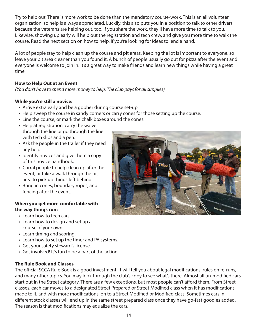Try to help out. There is more work to be done than the mandatory course-work. This is an all volunteer organization, so help is always appreciated. Luckily, this also puts you in a position to talk to other drivers, because the veterans are helping out, too. If you share the work, they'll have more time to talk to you. Likewise, showing up early will help out the registration and tech crew, and give you more time to walk the course. Read the next section on how to help, if you're looking for ideas to lend a hand.

A lot of people stay to help clean up the course and pit areas. Keeping the lot is important to everyone, so leave your pit area cleaner than you found it. A bunch of people usually go out for pizza after the event and everyone is welcome to join in. It's a great way to make friends and learn new things while having a great time.

### **How to Help Out at an Event**

*(You don't have to spend more money to help. The club pays for all supplies)*

### **While you're still a novice:**

- Arrive extra early and be a gopher during course set-up.
- Help sweep the course in sandy corners or carry cones for those setting up the course.
- Line the course, or mark the chalk boxes around the cones.
- Help at registration: carry the waiver through the line or go through the line with tech slips and a pen.
- Ask the people in the trailer if they need any help.
- Identify novices and give them a copy of this novice handbook.
- Corral people to help clean up after the event, or take a walk through the pit area to pick up things left behind.
- Bring in cones, boundary ropes, and fencing after the event.

#### **When you get more comfortable with the way things run:**

- Learn how to tech cars.
- Learn how to design and set up a course of your own.
- Learn timing and scoring.
- Learn how to set up the timer and PA systems.
- Get your safety steward's license.
- Get involved! It's fun to be a part of the action.

#### **The Rule Book and Classes**

The official SCCA Rule Book is a good investment. It will tell you about legal modifications, rules on re-runs, and many other topics. You may look through the club's copy to see what's there. Almost all un-modified cars start out in the Street category. There are a few exceptions, but most people can't afford them. From Street classes, each car moves to a designated Street Prepared or Street Modified class when it has modifications made to it, and with more modifications, on to a Street Modified or Modified class. Sometimes cars in different stock classes will end up in the same street prepared class once they have go-fast goodies added. The reason is that modifications may equalize the cars.

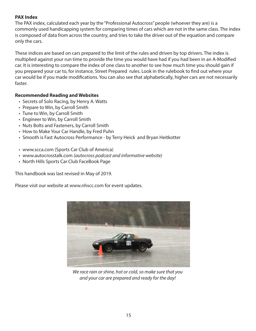#### **PAX Index**

The PAX index, calculated each year by the "Professional Autocross" people (whoever they are) is a commonly used handicapping system for comparing times of cars which are not in the same class. The index is composed of data from across the country, and tries to take the driver out of the equation and compare only the cars.

These indices are based on cars prepared to the limit of the rules and driven by top drivers. The index is multiplied against your run time to provide the time you would have had if you had been in an A-Modified car. It is interesting to compare the index of one class to another to see how much time you should gain if you prepared your car to, for instance, Street Prepared rules. Look in the rulebook to find out where your car would be if you made modifications. You can also see that alphabetically, higher cars are not necessarily faster.

#### **Recommended Reading and Websites**

- Secrets of Solo Racing, by Henry A. Watts
- Prepare to Win, by Carroll Smith
- Tune to Win, by Carroll Smith
- Engineer to Win, by Carroll Smith
- Nuts Bolts and Fasteners, by Carroll Smith
- How to Make Your Car Handle, by Fred Puhn
- Smooth is Fast Autocross Performance by Terry Heick and Bryan Heitkotter
- www.scca.com (Sports Car Club of America)
- www.autocrosstalk.com *(autocross podcast and informative website)*
- North Hills Sports Car Club FaceBook Page

This handbook was last revised in May of 2019.

Please visit our website at www.nhscc.com for event updates.



*We race rain or shine, hot or cold, so make sure that you and your car are prepared and ready for the day!*